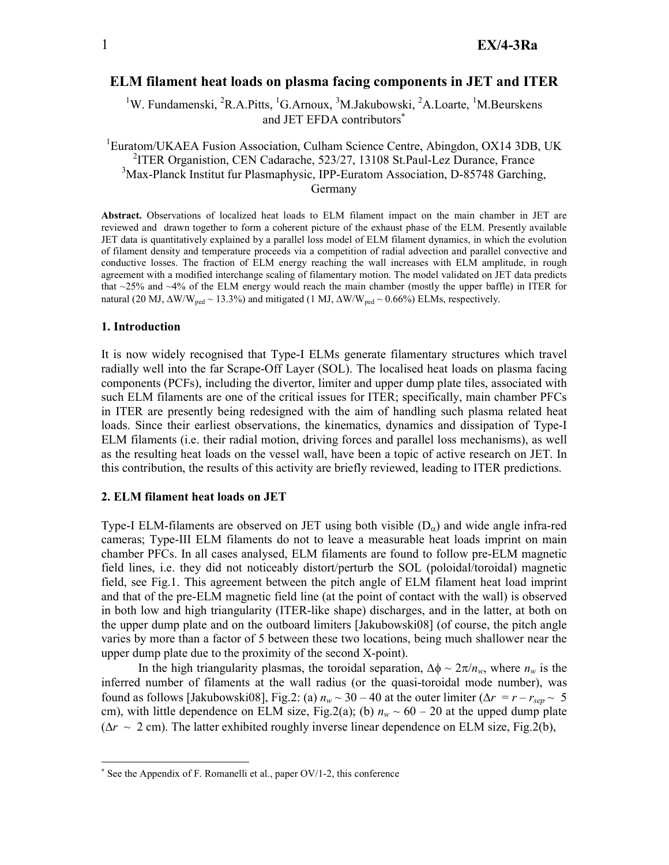# ELM filament heat loads on plasma facing components in JET and ITER

<sup>1</sup>W. Fundamenski, <sup>2</sup>R.A.Pitts, <sup>1</sup>G.Arnoux, <sup>3</sup>M.Jakubowski, <sup>2</sup>A.Loarte, <sup>1</sup>M.Beurskens and JET EFDA contributors<sup>\*</sup>

<sup>1</sup>Euratom/UKAEA Fusion Association, Culham Science Centre, Abingdon, OX14 3DB, UK <sup>2</sup>ITER Organistion, CEN Cadarache, 523/27, 13108 St.Paul-Lez Durance, France <sup>3</sup>Max-Planck Institut fur Plasmaphysic, IPP-Euratom Association, D-85748 Garching, Germany

Abstract. Observations of localized heat loads to ELM filament impact on the main chamber in JET are reviewed and drawn together to form a coherent picture of the exhaust phase of the ELM. Presently available JET data is quantitatively explained by a parallel loss model of ELM filament dynamics, in which the evolution of filament density and temperature proceeds via a competition of radial advection and parallel convective and conductive losses. The fraction of ELM energy reaching the wall increases with ELM amplitude, in rough agreement with a modified interchange scaling of filamentary motion. The model validated on JET data predicts that ~25% and ~4% of the ELM energy would reach the main chamber (mostly the upper baffle) in ITER for natural (20 MJ, ΔW/W<sub>ped</sub> ~ 13.3%) and mitigated (1 MJ, ΔW/W<sub>ped</sub> ~ 0.66%) ELMs, respectively.

## 1. Introduction

 $\overline{a}$ 

It is now widely recognised that Type-I ELMs generate filamentary structures which travel radially well into the far Scrape-Off Layer (SOL). The localised heat loads on plasma facing components (PCFs), including the divertor, limiter and upper dump plate tiles, associated with such ELM filaments are one of the critical issues for ITER; specifically, main chamber PFCs in ITER are presently being redesigned with the aim of handling such plasma related heat loads. Since their earliest observations, the kinematics, dynamics and dissipation of Type-I ELM filaments (i.e. their radial motion, driving forces and parallel loss mechanisms), as well as the resulting heat loads on the vessel wall, have been a topic of active research on JET. In this contribution, the results of this activity are briefly reviewed, leading to ITER predictions.

#### 2. ELM filament heat loads on JET

Type-I ELM-filaments are observed on JET using both visible  $(D_{\alpha})$  and wide angle infra-red cameras; Type-III ELM filaments do not to leave a measurable heat loads imprint on main chamber PFCs. In all cases analysed, ELM filaments are found to follow pre-ELM magnetic field lines, i.e. they did not noticeably distort/perturb the SOL (poloidal/toroidal) magnetic field, see Fig.1. This agreement between the pitch angle of ELM filament heat load imprint and that of the pre-ELM magnetic field line (at the point of contact with the wall) is observed in both low and high triangularity (ITER-like shape) discharges, and in the latter, at both on the upper dump plate and on the outboard limiters [Jakubowski08] (of course, the pitch angle varies by more than a factor of 5 between these two locations, being much shallower near the upper dump plate due to the proximity of the second X-point).

In the high triangularity plasmas, the toroidal separation,  $\Delta \phi \sim 2\pi/n_w$ , where  $n_w$  is the inferred number of filaments at the wall radius (or the quasi-toroidal mode number), was found as follows [Jakubowski08], Fig.2: (a)  $n_w \sim 30 - 40$  at the outer limiter ( $\Delta r = r - r_{sep} \sim 5$ cm), with little dependence on ELM size, Fig.2(a); (b)  $n_w \sim 60 - 20$  at the upped dump plate  $(\Delta r \sim 2 \text{ cm})$ . The latter exhibited roughly inverse linear dependence on ELM size, Fig.2(b),

<sup>∗</sup> See the Appendix of F. Romanelli et al., paper OV/1-2, this conference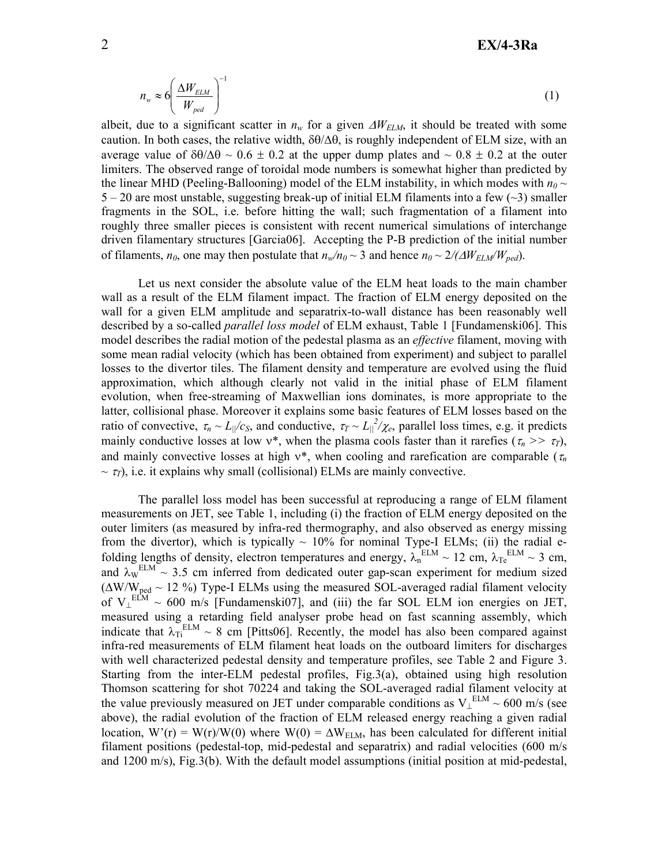$$
n_{w} \approx 6 \left( \frac{\Delta W_{ELM}}{W_{ped}} \right)^{-1} \tag{1}
$$

albeit, due to a significant scatter in  $n_w$  for a given  $\Delta W_{ELM}$ , it should be treated with some caution. In both cases, the relative width,  $\delta\theta/\Delta\theta$ , is roughly independent of ELM size, with an average value of  $\delta\theta/\Delta\theta \sim 0.6 \pm 0.2$  at the upper dump plates and  $\sim 0.8 \pm 0.2$  at the outer limiters. The observed range of toroidal mode numbers is somewhat higher than predicted by the linear MHD (Peeling-Ballooning) model of the ELM instability, in which modes with  $n<sub>0</sub>$  ~  $5 - 20$  are most unstable, suggesting break-up of initial ELM filaments into a few  $(\sim 3)$  smaller fragments in the SOL, i.e. before hitting the wall; such fragmentation of a filament into roughly three smaller pieces is consistent with recent numerical simulations of interchange driven filamentary structures [Garcia06]. Accepting the P-B prediction of the initial number of filaments, *n*<sup>0</sup>, one may then postulate that  $n_w/n_0 \sim 3$  and hence  $n_0 \sim 2/(\Delta W_{ELM}/W_{ped})$ .

Let us next consider the absolute value of the ELM heat loads to the main chamber wall as a result of the ELM filament impact. The fraction of ELM energy deposited on the wall for a given ELM amplitude and separatrix-to-wall distance has been reasonably well described by a so-called *parallel loss model* of ELM exhaust, Table 1 [Fundamenski06]. This model describes the radial motion of the pedestal plasma as an *effective* filament, moving with some mean radial velocity (which has been obtained from experiment) and subject to parallel losses to the divertor tiles. The filament density and temperature are evolved using the fluid approximation, which although clearly not valid in the initial phase of ELM filament evolution, when free-streaming of Maxwellian ions dominates, is more appropriate to the latter, collisional phase. Moreover it explains some basic features of ELM losses based on the ratio of convective,  $\tau_n \sim L_{\parallel}/c_s$ , and conductive,  $\tau_T \sim L_{\parallel}/c_s$ , parallel loss times, e.g. it predicts mainly conductive losses at low  $v^*$ , when the plasma cools faster than it rarefies ( $\tau_n \gg \tau$ *T*), and mainly convective losses at high  $v^*$ , when cooling and rarefication are comparable ( $\tau_n$ )  $\sim \tau$ <sub>*T*</sub>), i.e. it explains why small (collisional) ELMs are mainly convective.

The parallel loss model has been successful at reproducing a range of ELM filament measurements on JET, see Table 1, including (i) the fraction of ELM energy deposited on the outer limiters (as measured by infra-red thermography, and also observed as energy missing from the divertor), which is typically  $\sim 10\%$  for nominal Type-I ELMs; (ii) the radial efolding lengths of density, electron temperatures and energy,  $\lambda_n^{ELM} \sim 12$  cm,  $\lambda_{Te}^{ELM} \sim 3$  cm, and  $\lambda_W^{ELM} \sim 3.5$  cm inferred from dedicated outer gap-scan experiment for medium sized  $(\Delta W/W_{\text{ped}} \sim 12 \%)$  Type-I ELMs using the measured SOL-averaged radial filament velocity of  $V_{\perp}^{ELM} \sim 600$  m/s [Fundamenski07], and (iii) the far SOL ELM ion energies on JET, measured using a retarding field analyser probe head on fast scanning assembly, which indicate that  $\lambda_{Ti}^{ELM} \sim 8$  cm [Pitts06]. Recently, the model has also been compared against infra-red measurements of ELM filament heat loads on the outboard limiters for discharges with well characterized pedestal density and temperature profiles, see Table 2 and Figure 3. Starting from the inter-ELM pedestal profiles, Fig.3(a), obtained using high resolution Thomson scattering for shot 70224 and taking the SOL-averaged radial filament velocity at the value previously measured on JET under comparable conditions as  $V_{\perp}^{ELM} \sim 600$  m/s (see above), the radial evolution of the fraction of ELM released energy reaching a given radial location, W'(r) = W(r)/W(0) where W(0) =  $\Delta W_{ELM}$ , has been calculated for different initial filament positions (pedestal-top, mid-pedestal and separatrix) and radial velocities (600 m/s and 1200 m/s), Fig.3(b). With the default model assumptions (initial position at mid-pedestal,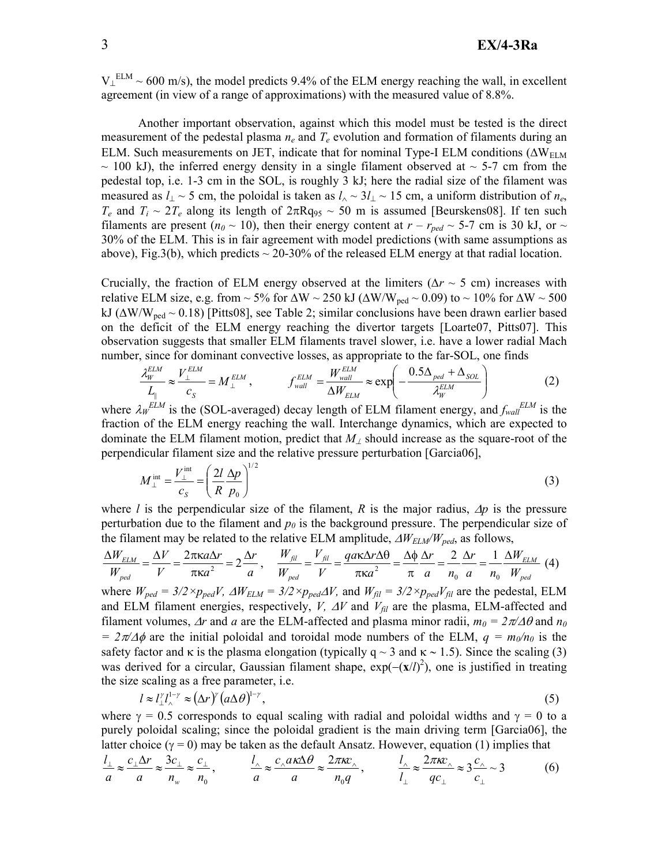$V_{\perp}^{ELM}$  ~ 600 m/s), the model predicts 9.4% of the ELM energy reaching the wall, in excellent agreement (in view of a range of approximations) with the measured value of 8.8%.

Another important observation, against which this model must be tested is the direct measurement of the pedestal plasma  $n_e$  and  $T_e$  evolution and formation of filaments during an ELM. Such measurements on JET, indicate that for nominal Type-I ELM conditions ( $\Delta W_{\text{ELM}}$  $\sim$  100 kJ), the inferred energy density in a single filament observed at  $\sim$  5-7 cm from the pedestal top, i.e. 1-3 cm in the SOL, is roughly 3 kJ; here the radial size of the filament was measured as *l*<sub>⊥</sub> ~ 5 cm, the poloidal is taken as *l*<sub>∧</sub> ~ 3*l*<sub>⊥</sub> ~ 15 cm, a uniform distribution of *n<sub>e</sub>*, *T<sub>e</sub>* and *T<sub>i</sub>*  $\sim$  2*T<sub>e</sub>* along its length of 2πRq<sub>95</sub>  $\sim$  50 m is assumed [Beurskens08]. If ten such filaments are present ( $n_0 \sim 10$ ), then their energy content at  $r - r_{ped} \sim 5$ -7 cm is 30 kJ, or ~ 30% of the ELM. This is in fair agreement with model predictions (with same assumptions as above), Fig.3(b), which predicts  $\sim$  20-30% of the released ELM energy at that radial location.

Crucially, the fraction of ELM energy observed at the limiters (∆*r* ~ 5 cm) increases with relative ELM size, e.g. from ~ 5% for  $\Delta W \sim 250$  kJ ( $\Delta W/W_{ped} \sim 0.09$ ) to ~ 10% for  $\Delta W \sim 500$ kJ ( $\Delta$ W/W<sub>ned</sub> ~ 0.18) [Pitts08], see Table 2; similar conclusions have been drawn earlier based on the deficit of the ELM energy reaching the divertor targets [Loarte07, Pitts07]. This observation suggests that smaller ELM filaments travel slower, i.e. have a lower radial Mach number, since for dominant convective losses, as appropriate to the far-SOL, one finds

$$
\frac{\lambda_{W}^{ELM}}{L_{\parallel}} \approx \frac{V_{\perp}^{ELM}}{c_{S}} = M_{\perp}^{ELM}, \qquad f_{wall}^{ELM} = \frac{W_{wall}^{ELM}}{\Delta W_{ELM}} \approx \exp\left(-\frac{0.5\Delta_{ped} + \Delta_{SOL}}{\lambda_{W}^{ELM}}\right) \tag{2}
$$

where  $\lambda_W^{ELM}$  is the (SOL-averaged) decay length of ELM filament energy, and  $f_{wall}^{ELM}$  is the fraction of the ELM energy reaching the wall. Interchange dynamics, which are expected to dominate the ELM filament motion, predict that *M*⊥ should increase as the square-root of the perpendicular filament size and the relative pressure perturbation [Garcia06],

$$
M_{\perp}^{\text{int}} = \frac{V_{\perp}^{\text{int}}}{c_s} = \left(\frac{2l}{R} \frac{\Delta p}{p_0}\right)^{1/2} \tag{3}
$$

where *l* is the perpendicular size of the filament, *R* is the major radius, ∆*p* is the pressure perturbation due to the filament and  $p<sub>0</sub>$  is the background pressure. The perpendicular size of the filament may be related to the relative ELM amplitude, ∆*WELM/Wped*, as follows,

$$
\frac{\Delta W_{ELM}}{W_{ped}} = \frac{\Delta V}{V} = \frac{2\pi\kappa a\Delta r}{\pi\kappa a^2} = 2\frac{\Delta r}{a}, \quad \frac{W_{fil}}{W_{ped}} = \frac{V_{fil}}{V} = \frac{q a\kappa \Delta r \Delta \theta}{\pi\kappa a^2} = \frac{\Delta \phi}{\pi} \frac{\Delta r}{a} = \frac{2}{n_0} \frac{\Delta r}{a} = \frac{1}{n_0} \frac{\Delta W_{ELM}}{W_{ped}} \tag{4}
$$

where  $W_{ped} = 3/2 \times p_{ped}V$ ,  $\Delta W_{ELM} = 3/2 \times p_{ped} \Delta V$ , and  $W_{fil} = 3/2 \times p_{ped} V_{fil}$  are the pedestal, ELM and ELM filament energies, respectively, *V,* ∆*V* and *Vfil* are the plasma, ELM-affected and filament volumes,  $\Delta r$  and *a* are the ELM-affected and plasma minor radii,  $m_0 = 2\pi/\Delta\theta$  and  $n_0$  $= 2\pi/\Delta\phi$  are the initial poloidal and toroidal mode numbers of the ELM,  $q = m_0/n_0$  is the safety factor and  $\kappa$  is the plasma elongation (typically q ~ 3 and  $\kappa \sim 1.5$ ). Since the scaling (3) was derived for a circular, Gaussian filament shape, exp( $-(x/l)^2$ ), one is justified in treating the size scaling as a free parameter, i.e.

$$
l \approx l_{\perp}^{\gamma} l_{\wedge}^{1-\gamma} \approx (\Delta r)^{\gamma} (a \Delta \theta)^{1-\gamma}, \tag{5}
$$

where  $\gamma = 0.5$  corresponds to equal scaling with radial and poloidal widths and  $\gamma = 0$  to a purely poloidal scaling; since the poloidal gradient is the main driving term [Garcia06], the latter choice ( $\gamma = 0$ ) may be taken as the default Ansatz. However, equation (1) implies that

$$
\frac{l_{\perp}}{a} \approx \frac{c_{\perp} \Delta r}{a} \approx \frac{3c_{\perp}}{n_{w}} \approx \frac{c_{\perp}}{n_{0}}, \qquad \frac{l_{\wedge}}{a} \approx \frac{c_{\wedge} a \kappa \Delta \theta}{a} \approx \frac{2\pi \kappa c_{\wedge}}{n_{0}q}, \qquad \frac{l_{\wedge}}{l_{\perp}} \approx \frac{2\pi \kappa c_{\wedge}}{q c_{\perp}} \approx 3 \frac{c_{\wedge}}{c_{\perp}} \sim 3 \tag{6}
$$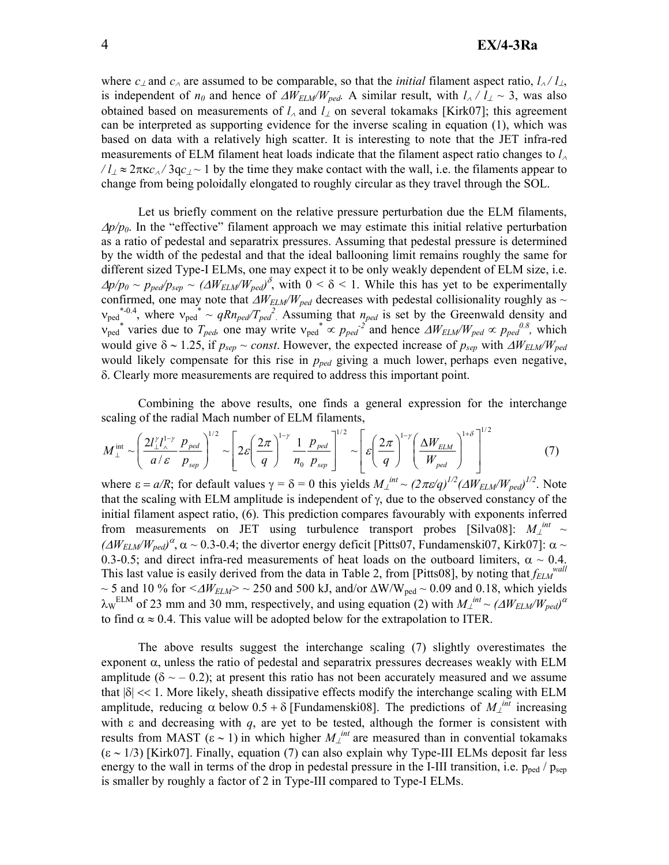# EX/4-3Ra

where  $c_{\perp}$  and  $c_{\wedge}$  are assumed to be comparable, so that the *initial* filament aspect ratio,  $l_{\wedge}/l_{\perp}$ , is independent of  $n_0$  and hence of  $\Delta W_{ELM}/W_{ped}$ . A similar result, with  $l_A / l_A \sim 3$ , was also obtained based on measurements of *l*<sup>∧</sup> and *l*⊥ on several tokamaks [Kirk07]; this agreement can be interpreted as supporting evidence for the inverse scaling in equation (1), which was based on data with a relatively high scatter. It is interesting to note that the JET infra-red measurements of ELM filament heat loads indicate that the filament aspect ratio changes to *l*<sup>∧</sup>  $\ell/\ell \approx 2\pi \kappa c_0/3ac$ <sub>/</sub> ~ 1 by the time they make contact with the wall, i.e. the filaments appear to change from being poloidally elongated to roughly circular as they travel through the SOL.

Let us briefly comment on the relative pressure perturbation due the ELM filaments, <sup>∆</sup>*p/p0*. In the "effective" filament approach we may estimate this initial relative perturbation as a ratio of pedestal and separatrix pressures. Assuming that pedestal pressure is determined by the width of the pedestal and that the ideal ballooning limit remains roughly the same for different sized Type-I ELMs, one may expect it to be only weakly dependent of ELM size, i.e.  $\Delta p/p_0 \sim p_{ped}/p_{sep} \sim (\Delta W_{ELM}/W_{ped})^{\delta}$ , with  $0 \le \delta \le 1$ . While this has yet to be experimentally confirmed, one may note that ∆*WELM/Wped* decreases with pedestal collisionality roughly as ~  $v_{\text{ped}}^*$ , where  $v_{\text{ped}}^* \sim qRn_{\text{ped}}/T_{\text{ped}}^2$ . Assuming that  $n_{\text{ped}}$  is set by the Greenwald density and  $v_{\text{ped}}^*$  varies due to  $T_{\text{ped}}$ , one may write  $v_{\text{ped}}^* \propto p_{\text{ped}}^2$  and hence  $\Delta W_{\text{ELM}}/W_{\text{ped}} \propto p_{\text{ped}}^{0.8}$ , which would give  $\delta \sim 1.25$ , if  $p_{sep} \sim const.$  However, the expected increase of  $p_{sep}$  with  $\Delta W_{ELM}/W_{ped}$ would likely compensate for this rise in *pped* giving a much lower, perhaps even negative, δ. Clearly more measurements are required to address this important point.

Combining the above results, one finds a general expression for the interchange scaling of the radial Mach number of ELM filaments,

$$
M_{\perp}^{\text{int}} \sim \left(\frac{2l_{\perp}^{\gamma}l_{\wedge}^{1-\gamma}}{a/\varepsilon} \frac{p_{\text{ped}}}{p_{\text{sep}}}\right)^{1/2} \sim \left[2\varepsilon \left(\frac{2\pi}{q}\right)^{1-\gamma} \frac{1}{n_0} \frac{p_{\text{ped}}}{p_{\text{sep}}}\right]^{1/2} \sim \left[\varepsilon \left(\frac{2\pi}{q}\right)^{1-\gamma} \left(\frac{\Delta W_{\text{ELM}}}{W_{\text{ped}}}\right)^{1+\delta}\right]^{1/2} \tag{7}
$$

where  $\varepsilon = a/R$ ; for default values  $\gamma = \delta = 0$  this yields  $M_{\perp}^{int} \sim (2\pi\varepsilon/q)^{1/2} ( \Delta W_{ELM}/W_{ped})^{1/2}$ . Note that the scaling with ELM amplitude is independent of  $\gamma$ , due to the observed constancy of the initial filament aspect ratio, (6). This prediction compares favourably with exponents inferred from measurements on JET using turbulence transport probes [Silva08]:  $M_{\perp}^{int} \sim$  $(\Delta W_{ELM}/W_{ped})^{\alpha}$ ,  $\alpha \sim 0.3$ -0.4; the divertor energy deficit [Pitts07, Fundamenski07, Kirk07]:  $\alpha \sim$ 0.3-0.5; and direct infra-red measurements of heat loads on the outboard limiters,  $\alpha \sim 0.4$ . This last value is easily derived from the data in Table 2, from [Pitts08], by noting that *fELM wall* ~ 5 and 10 % for *<*∆*WELM> ~* 250 and 500 kJ, and/or ∆W/Wped ~ 0.09 and 0.18, which yields  $\lambda_W$ <sup>ELM</sup> of 23 mm and 30 mm, respectively, and using equation (2) with  $M_\perp^{int} \sim ( \Delta W_{ELM}/W_{ped} )^{\alpha}$ to find  $\alpha \approx 0.4$ . This value will be adopted below for the extrapolation to ITER.

The above results suggest the interchange scaling (7) slightly overestimates the exponent  $\alpha$ , unless the ratio of pedestal and separatrix pressures decreases weakly with ELM amplitude ( $\delta \sim$  – 0.2); at present this ratio has not been accurately measured and we assume that  $|\delta| \ll 1$ . More likely, sheath dissipative effects modify the interchange scaling with ELM amplitude, reducing  $\alpha$  below  $0.5 + \delta$  [Fundamenski08]. The predictions of  $M_{\perp}^{int}$  increasing with  $\varepsilon$  and decreasing with  $q$ , are yet to be tested, although the former is consistent with results from MAST (ε ~ 1) in which higher  $M<sub>⊥</sub><sup>int</sup>$  are measured than in convential tokamaks  $(\epsilon \sim 1/3)$  [Kirk07]. Finally, equation (7) can also explain why Type-III ELMs deposit far less energy to the wall in terms of the drop in pedestal pressure in the I-III transition, i.e.  $p_{\text{neq}}/p_{\text{sen}}$ is smaller by roughly a factor of 2 in Type-III compared to Type-I ELMs.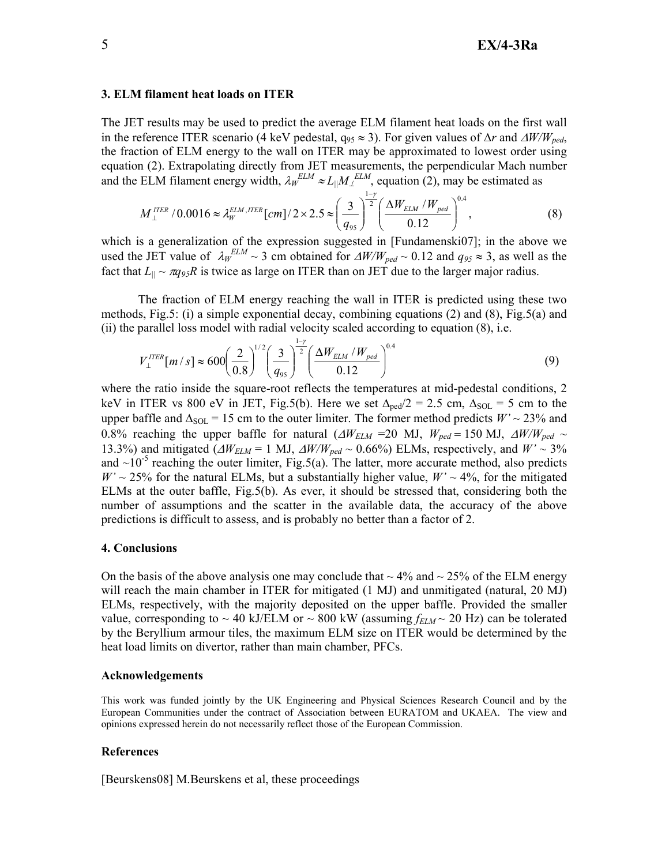#### 3. ELM filament heat loads on ITER

The JET results may be used to predict the average ELM filament heat loads on the first wall in the reference ITER scenario (4 keV pedestal, q<sup>95</sup> ≈ 3). For given values of ∆*r* and ∆*W/Wped*, the fraction of ELM energy to the wall on ITER may be approximated to lowest order using equation (2). Extrapolating directly from JET measurements, the perpendicular Mach number and the ELM filament energy width,  $\lambda_W^{ELM} \approx L_{||} M_{\perp}^{ELM}$ , equation (2), may be estimated as

$$
M_{\perp}^{ITER} / 0.0016 \approx \lambda_{W}^{ELM,ITER} [cm] / 2 \times 2.5 \approx \left(\frac{3}{q_{95}}\right)^{\frac{1-\gamma}{2}} \left(\frac{\Delta W_{ELM} / W_{ped}}{0.12}\right)^{0.4},\tag{8}
$$

which is a generalization of the expression suggested in [Fundamenski07]; in the above we used the JET value of  $\lambda_W^{ELM} \sim 3$  cm obtained for  $\Delta W/W_{ped} \sim 0.12$  and  $q_{95} \approx 3$ , as well as the fact that  $L_{\parallel} \sim \pi q_{95} R$  is twice as large on ITER than on JET due to the larger major radius.

The fraction of ELM energy reaching the wall in ITER is predicted using these two methods, Fig.5: (i) a simple exponential decay, combining equations (2) and (8), Fig.5(a) and (ii) the parallel loss model with radial velocity scaled according to equation (8), i.e.

$$
V_{\perp}^{ITER}[m/s] \approx 600 \left(\frac{2}{0.8}\right)^{1/2} \left(\frac{3}{q_{95}}\right)^{\frac{1-\gamma}{2}} \left(\frac{\Delta W_{EM} / W_{ped}}{0.12}\right)^{0.4}
$$
 (9)

where the ratio inside the square-root reflects the temperatures at mid-pedestal conditions, 2 keV in ITER vs 800 eV in JET, Fig.5(b). Here we set  $\Delta_{\text{ped}}/2 = 2.5$  cm,  $\Delta_{\text{SOL}} = 5$  cm to the upper baffle and  $\Delta_{\text{SOL}}$  = 15 cm to the outer limiter. The former method predicts *W*' ~ 23% and 0.8% reaching the upper baffle for natural ( $\Delta W_{ELM}$  =20 MJ,  $W_{ped}$  = 150 MJ,  $\Delta W/W_{ped}$  ~ 13.3%) and mitigated ( $\Delta W_{ELM}$  = 1 MJ,  $\Delta W/W_{ped}$  ~ 0.66%) ELMs, respectively, and  $W' \sim 3\%$ and  $\sim 10^{-5}$  reaching the outer limiter, Fig.5(a). The latter, more accurate method, also predicts  $W' \sim 25\%$  for the natural ELMs, but a substantially higher value,  $W' \sim 4\%$ , for the mitigated ELMs at the outer baffle, Fig.5(b). As ever, it should be stressed that, considering both the number of assumptions and the scatter in the available data, the accuracy of the above predictions is difficult to assess, and is probably no better than a factor of 2.

### 4. Conclusions

On the basis of the above analysis one may conclude that  $\sim$  4% and  $\sim$  25% of the ELM energy will reach the main chamber in ITER for mitigated (1 MJ) and unmitigated (natural, 20 MJ) ELMs, respectively, with the majority deposited on the upper baffle. Provided the smaller value, corresponding to  $\sim$  40 kJ/ELM or  $\sim$  800 kW (assuming  $f_{ELM}$  $\sim$  20 Hz) can be tolerated by the Beryllium armour tiles, the maximum ELM size on ITER would be determined by the heat load limits on divertor, rather than main chamber, PFCs.

## Acknowledgements

This work was funded jointly by the UK Engineering and Physical Sciences Research Council and by the European Communities under the contract of Association between EURATOM and UKAEA. The view and opinions expressed herein do not necessarily reflect those of the European Commission.

### References

[Beurskens08] M.Beurskens et al, these proceedings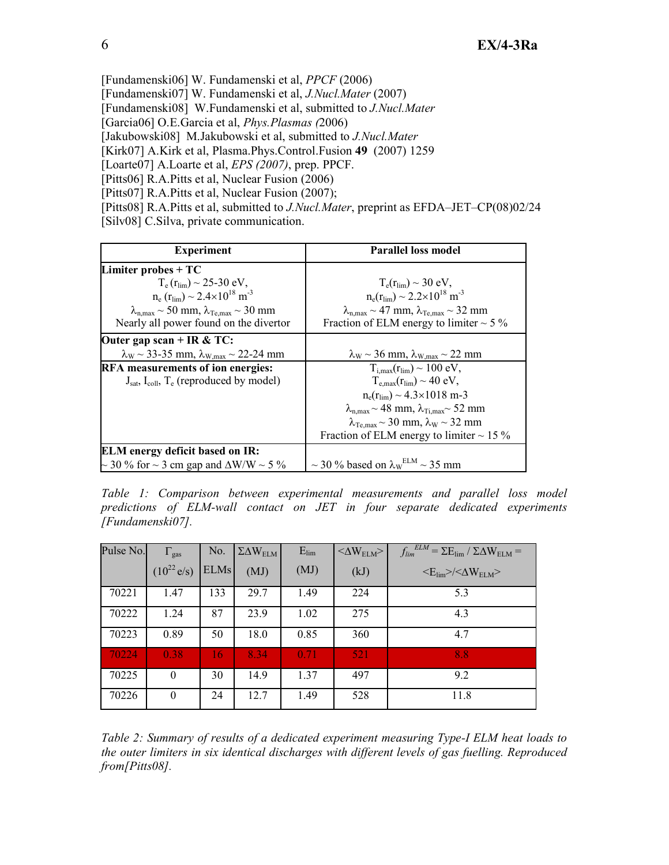[Fundamenski06] W. Fundamenski et al, *PPCF* (2006)

[Fundamenski07] W. Fundamenski et al, *J.Nucl.Mater* (2007)

[Fundamenski08] W.Fundamenski et al, submitted to *J.Nucl.Mater*

[Garcia06] O.E.Garcia et al, *Phys.Plasmas (*2006)

[Jakubowski08] M.Jakubowski et al, submitted to *J.Nucl.Mater*

[Kirk07] A.Kirk et al, Plasma.Phys.Control.Fusion 49 (2007) 1259

[Loarte07] A.Loarte et al, *EPS (2007)*, prep. PPCF.

[Pitts06] R.A.Pitts et al, Nuclear Fusion (2006)

[Pitts07] R.A.Pitts et al, Nuclear Fusion (2007);

[Pitts08] R.A.Pitts et al, submitted to *J.Nucl.Mater*, preprint as EFDA–JET–CP(08)02/24 [Silv08] C.Silva, private communication.

| <b>Experiment</b>                                                         | <b>Parallel loss model</b>                                                              |
|---------------------------------------------------------------------------|-----------------------------------------------------------------------------------------|
| Limiter probes $+TC$                                                      |                                                                                         |
| $T_e(r_{\text{lim}}) \sim 25-30 \text{ eV}$ ,                             | $T_e(r_{lim}) \sim 30$ eV,                                                              |
| $n_e$ ( $r_{lim}$ ) ~ 2.4×10 <sup>18</sup> m <sup>-3</sup>                | $n_e(r_{lim}) \sim 2.2 \times 10^{18}$ m <sup>-3</sup>                                  |
| $\lambda_{\text{n,max}} \sim 50$ mm, $\lambda_{\text{Te,max}} \sim 30$ mm | $\lambda_{\text{n.max}} \sim 47 \text{ mm}, \lambda_{\text{Te.max}} \sim 32 \text{ mm}$ |
| Nearly all power found on the divertor                                    | Fraction of ELM energy to limiter $\sim$ 5 %                                            |
| Outer gap scan + IR & TC:                                                 |                                                                                         |
| $\lambda_{\rm W}$ ~ 33-35 mm, $\lambda_{\rm W,max}$ ~ 22-24 mm            | $\lambda_{\rm W}$ ~ 36 mm, $\lambda_{\rm W,max}$ ~ 22 mm                                |
| RFA measurements of ion energies:                                         | $T_{i max}(r_{i im}) \sim 100$ eV,                                                      |
| $J_{sat}$ , $I_{coll}$ , $T_e$ (reproduced by model)                      | $T_{e,max}(r_{lim}) \sim 40$ eV,                                                        |
|                                                                           | $n_e(r_{\text{lim}}) \sim 4.3 \times 1018$ m-3                                          |
|                                                                           | $\lambda_{n,\max}$ ~ 48 mm, $\lambda_{\text{Ti,max}}$ ~ 52 mm                           |
|                                                                           | $\lambda_{\text{Te max}}$ ~ 30 mm, $\lambda_{\text{W}}$ ~ 32 mm                         |
|                                                                           | Fraction of ELM energy to limiter $\sim$ 15 %                                           |
| <b>ELM</b> energy deficit based on IR:                                    |                                                                                         |
| $\sim$ 30 % for $\sim$ 3 cm gap and $\Delta$ W/W $\sim$ 5 %               | $\sim$ 30 % based on $\lambda$ <sub>W</sub> <sup>ELM</sup> $\sim$ 35 mm                 |

*Table 1: Comparison between experimental measurements and parallel loss model predictions of ELM-wall contact on JET in four separate dedicated experiments [Fundamenski07].* 

| Pulse No. | $\Gamma_{\rm gas}$      | No.         | $\Sigma\Delta W_{\rm ELM}$ | $E_{lim}$ | $<\!\!\Delta W_{\rm ELM}\!\!>$ | $f_{lim}^{ELM} = \Sigma E_{lim} / \Sigma \Delta W_{ELM} =$     |
|-----------|-------------------------|-------------|----------------------------|-----------|--------------------------------|----------------------------------------------------------------|
|           | $(10^{22} \text{ e/s})$ | <b>ELMs</b> | (MJ)                       | (MJ)      | (kJ)                           | $\langle E_{\rm lim}\rangle/\langle \Delta W_{\rm ELM}\rangle$ |
| 70221     | 1.47                    | 133         | 29.7                       | 1.49      | 224                            | 5.3                                                            |
| 70222     | 1.24                    | 87          | 23.9                       | 1.02      | 275                            | 4.3                                                            |
| 70223     | 0.89                    | 50          | 18.0                       | 0.85      | 360                            | 4.7                                                            |
| 70224     | 0.38                    | 16          | 8.34                       | 0.71      | 521                            | 8.8                                                            |
| 70225     | $\mathbf{0}$            | 30          | 14.9                       | 1.37      | 497                            | 9.2                                                            |
| 70226     | $\mathbf{0}$            | 24          | 12.7                       | 1.49      | 528                            | 11.8                                                           |

*Table 2: Summary of results of a dedicated experiment measuring Type-I ELM heat loads to the outer limiters in six identical discharges with different levels of gas fuelling. Reproduced from[Pitts08].*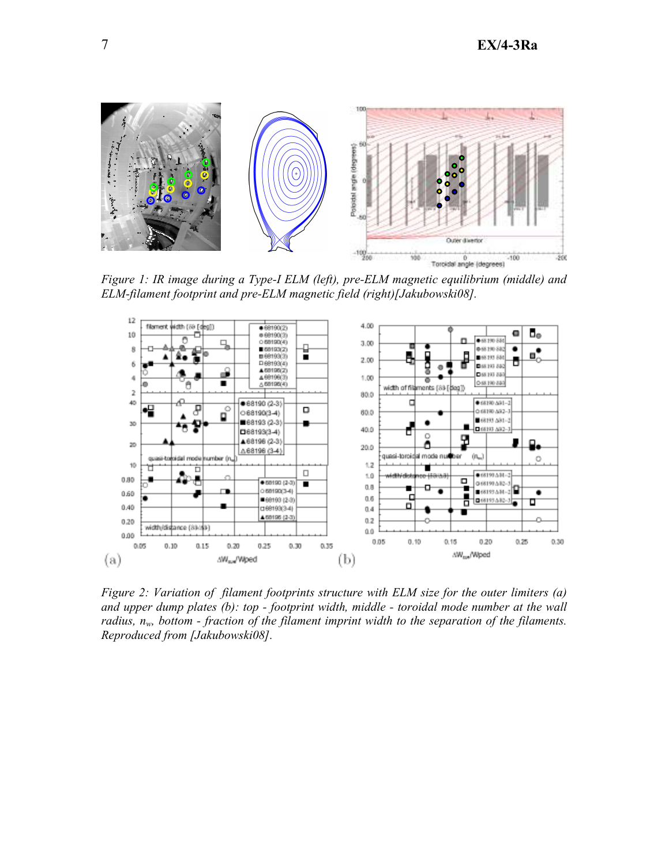

*Figure 1: IR image during a Type-I ELM (left), pre-ELM magnetic equilibrium (middle) and ELM-filament footprint and pre-ELM magnetic field (right)[Jakubowski08].* 



*Figure 2: Variation of filament footprints structure with ELM size for the outer limiters (a) and upper dump plates (b): top - footprint width, middle - toroidal mode number at the wall radius, nw, bottom - fraction of the filament imprint width to the separation of the filaments. Reproduced from [Jakubowski08].*